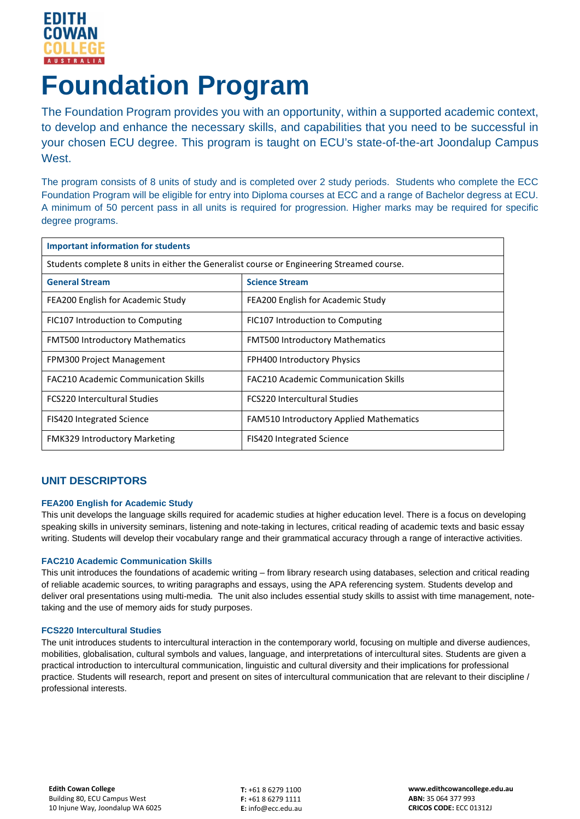

# **Foundation Program**

The Foundation Program provides you with an opportunity, within a supported academic context, to develop and enhance the necessary skills, and capabilities that you need to be successful in your chosen ECU degree. This program is taught on ECU's state-of-the-art Joondalup Campus West.

The program consists of 8 units of study and is completed over 2 study periods. Students who complete the ECC Foundation Program will be eligible for entry into Diploma courses at ECC and a range of Bachelor degress at ECU. A minimum of 50 percent pass in all units is required for progression. Higher marks may be required for specific degree programs.

| <b>Important information for students</b>                                                 |                                             |
|-------------------------------------------------------------------------------------------|---------------------------------------------|
| Students complete 8 units in either the Generalist course or Engineering Streamed course. |                                             |
| <b>General Stream</b>                                                                     | <b>Science Stream</b>                       |
| FEA200 English for Academic Study                                                         | FEA200 English for Academic Study           |
| FIC107 Introduction to Computing                                                          | FIC107 Introduction to Computing            |
| <b>FMT500 Introductory Mathematics</b>                                                    | <b>FMT500 Introductory Mathematics</b>      |
| FPM300 Project Management                                                                 | FPH400 Introductory Physics                 |
| <b>FAC210 Academic Communication Skills</b>                                               | <b>FAC210 Academic Communication Skills</b> |
| <b>FCS220 Intercultural Studies</b>                                                       | <b>FCS220 Intercultural Studies</b>         |
| <b>FIS420 Integrated Science</b>                                                          | FAM510 Introductory Applied Mathematics     |
| <b>FMK329 Introductory Marketing</b>                                                      | <b>FIS420 Integrated Science</b>            |

## **UNIT DESCRIPTORS**

## **FEA200 English for Academic Study**

This unit develops the language skills required for academic studies at higher education level. There is a focus on developing speaking skills in university seminars, listening and note-taking in lectures, critical reading of academic texts and basic essay writing. Students will develop their vocabulary range and their grammatical accuracy through a range of interactive activities.

## **FAC210 Academic Communication Skills**

This unit introduces the foundations of academic writing – from library research using databases, selection and critical reading of reliable academic sources, to writing paragraphs and essays, using the APA referencing system. Students develop and deliver oral presentations using multi-media. The unit also includes essential study skills to assist with time management, notetaking and the use of memory aids for study purposes.

## **FCS220 Intercultural Studies**

The unit introduces students to intercultural interaction in the contemporary world, focusing on multiple and diverse audiences, mobilities, globalisation, cultural symbols and values, language, and interpretations of intercultural sites. Students are given a practical introduction to intercultural communication, linguistic and cultural diversity and their implications for professional practice. Students will research, report and present on sites of intercultural communication that are relevant to their discipline / professional interests.

**T:** +61 8 6279 1100 **F:** +61 8 6279 1111 **E:** info@ecc.edu.au